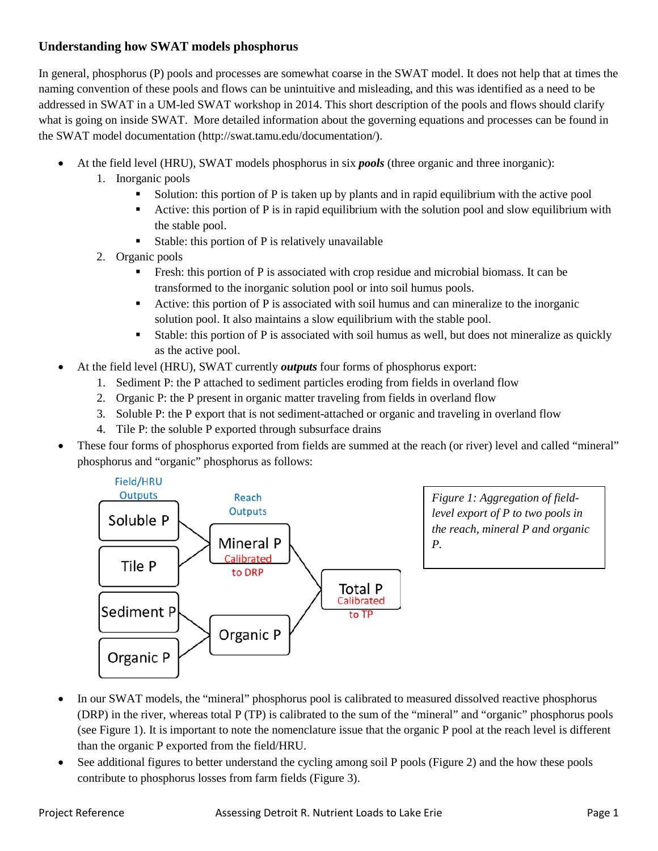## **Understanding how SWAT models phosphorus**

In general, phosphorus (P) pools and processes are somewhat coarse in the SWAT model. It does not help that at times the naming convention of these pools and flows can be unintuitive and misleading, and this was identified as a need to be addressed in SWAT in a UM-led SWAT workshop in 2014. This short description of the pools and flows should clarify what is going on inside SWAT. More detailed information about the governing equations and processes can be found in the SWAT model documentation (http://swat.tamu.edu/documentation/).

- At the field level (HRU), SWAT models phosphorus in six *pools* (three organic and three inorganic):
	- 1. Inorganic pools
		- Solution: this portion of P is taken up by plants and in rapid equilibrium with the active pool
		- Active: this portion of P is in rapid equilibrium with the solution pool and slow equilibrium with the stable pool.
		- Stable: this portion of  $P$  is relatively unavailable
	- 2. Organic pools
		- Fresh: this portion of P is associated with crop residue and microbial biomass. It can be transformed to the inorganic solution pool or into soil humus pools.
		- Active: this portion of P is associated with soil humus and can mineralize to the inorganic solution pool. It also maintains a slow equilibrium with the stable pool.
		- Stable: this portion of P is associated with soil humus as well, but does not mineralize as quickly as the active pool.
- At the field level (HRU), SWAT currently *outputs* four forms of phosphorus export:
	- 1. Sediment P: the P attached to sediment particles eroding from fields in overland flow
	- 2. Organic P: the P present in organic matter traveling from fields in overland flow
	- 3. Soluble P: the P export that is not sediment-attached or organic and traveling in overland flow
	- 4. Tile P: the soluble P exported through subsurface drains
- These four forms of phosphorus exported from fields are summed at the reach (or river) level and called "mineral" phosphorus and "organic" phosphorus as follows:



- In our SWAT models, the "mineral" phosphorus pool is calibrated to measured dissolved reactive phosphorus (DRP) in the river, whereas total P (TP) is calibrated to the sum of the "mineral" and "organic" phosphorus pools (see Figure 1). It is important to note the nomenclature issue that the organic P pool at the reach level is different than the organic P exported from the field/HRU.
- See additional figures to better understand the cycling among soil P pools (Figure 2) and the how these pools contribute to phosphorus losses from farm fields (Figure 3).